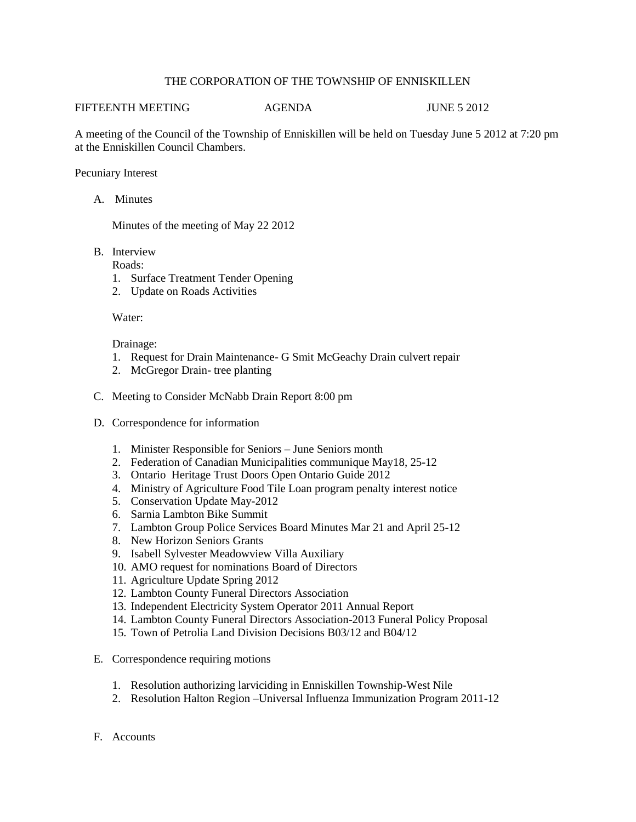## THE CORPORATION OF THE TOWNSHIP OF ENNISKILLEN

## FIFTEENTH MEETING AGENDA JUNE 5 2012

A meeting of the Council of the Township of Enniskillen will be held on Tuesday June 5 2012 at 7:20 pm at the Enniskillen Council Chambers.

Pecuniary Interest

A. Minutes

Minutes of the meeting of May 22 2012

B. Interview

Roads:

- 1. Surface Treatment Tender Opening
- 2. Update on Roads Activities

Water:

Drainage:

- 1. Request for Drain Maintenance- G Smit McGeachy Drain culvert repair
- 2. McGregor Drain- tree planting
- C. Meeting to Consider McNabb Drain Report 8:00 pm
- D. Correspondence for information
	- 1. Minister Responsible for Seniors June Seniors month
	- 2. Federation of Canadian Municipalities communique May18, 25-12
	- 3. Ontario Heritage Trust Doors Open Ontario Guide 2012
	- 4. Ministry of Agriculture Food Tile Loan program penalty interest notice
	- 5. Conservation Update May-2012
	- 6. Sarnia Lambton Bike Summit
	- 7. Lambton Group Police Services Board Minutes Mar 21 and April 25-12
	- 8. New Horizon Seniors Grants
	- 9. Isabell Sylvester Meadowview Villa Auxiliary
	- 10. AMO request for nominations Board of Directors
	- 11. Agriculture Update Spring 2012
	- 12. Lambton County Funeral Directors Association
	- 13. Independent Electricity System Operator 2011 Annual Report
	- 14. Lambton County Funeral Directors Association-2013 Funeral Policy Proposal
	- 15. Town of Petrolia Land Division Decisions B03/12 and B04/12
- E. Correspondence requiring motions
	- 1. Resolution authorizing larviciding in Enniskillen Township-West Nile
	- 2. Resolution Halton Region –Universal Influenza Immunization Program 2011-12
- F. Accounts